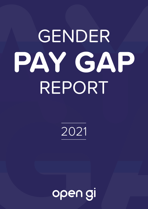# GENDER PAY GAP REPORT

2021

open gi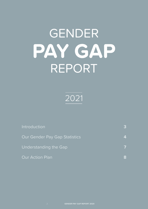# GENDER PAY GAP REPORT



| <b>Introduction</b>                  |  |
|--------------------------------------|--|
| <b>Our Gender Pay Gap Statistics</b> |  |
| Understanding the Gap                |  |
| <b>Our Action Plan</b>               |  |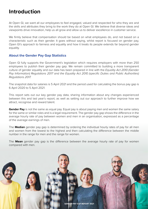### <span id="page-2-0"></span>**Introduction**

At Open GI, we want all our employees to feel engaged, valued and respected for who they are and the skills and attributes they bring to the work they do at Open GI. We believe that diverse ideas and viewpoints drive innovation, help us all grow and allow us to deliver excellence in customer service.

We firmly believe that compensation should be based on what employees do, and not based on a characteristic such as their gender. It goes without saying, whilst report is focused on gender pay, Open GI's approach to fairness and equality and how it treats its people extends far beyond gender equality.

#### **About the Gender Pay Gap Statistics**

Open GI fully supports the Government's legislation which requires employers with more than 250 employees to publish their gender pay gap. We remain committed to building a more transparent culture of gender equality and our data has been prepared in line with the *Equality Act 2010 (Gender Pay Information) Regulations 2017 and the Equality Act 2010 (specific Duties and Public Authorities) Regulations 2017.* 

The snapshot data for salaries is 5 April 2021 and the period used for calculating the bonus pay gap is 6 April 2020 to 5 April 2021.

This report sets out our key gender pay data, sharing information about any changes experienced between this and last year's report, as well as setting out our approach to further improve how we attract, recognise and reward talent.

**Gender Pay** is not the same as equal pay. Equal pay is about paying men and women the same salary for the same or similar roles and is a legal requirement. The gender pay gap shows the difference in the average hourly rate of pay between women and men in an organisation, expressed as a percentage of the average earnings of men.

The **Median** gender pay gap is determined by ordering the individual hourly rates of pay for all men and women from the lowest to the highest and then calculating the difference between the middle number in the range for men and the range for women.

The **Mean** gender pay gap is the difference between the average hourly rate of pay for women compared with men.

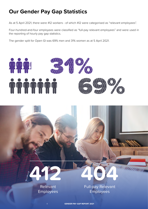# <span id="page-3-0"></span>**Our Gender Pay Gap Statistics**

As at 5 April 2021, there were 412 workers - of which 412 were categorised as "relevant employees".

Four-hundred-and-four employees were classified as "full-pay relevant employees" and were used in the reporting of hourly pay gap statistics.

The gender split for Open GI was 69% men and 31% women as at 5 April 2021.





Relevant Employees Full-pay Relevant Employees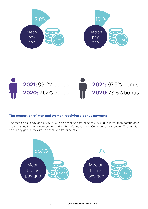<span id="page-4-0"></span>





#### **The proportion of men and women receiving a bonus payment**

The mean bonus pay gap of 35.1%, with an absolute difference of £803.08, is lower than comparable organisations in the private sector and in the Information and Communications sector. The median bonus pay gap is 0%, with an absolute difference of £0.

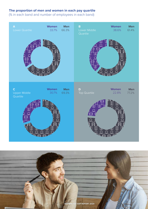#### **The proportion of men and women in each pay quartile**

(% in each band and number of employees in each band)

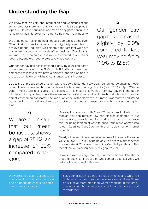### **Understanding the Gap**

We know that, typically, the Information and Communications sector employs more men than women and this also applies at Open GI. However, our mean and median pay gaps continue to remain significantly lower than other companies in our industry.

We pride ourselves on being an equal opportunities employer. Given that our sector is one which typically struggles to achieve gender equality, we celebrate the fact that we have women represented at all levels of our business. Despite this, we know that women are less well represented in our senior level roles, and we need to proactively address this.

Our gender pay gap has increased slightly by 0.9% compared to last year, moving from 11.9% to 12.8%. We can see that, compared to last year, we have a higher proportion of men in the top quartile which will have contributed to this increase.

Our gender pay gap has increased slightly by 0.9% compared to last year moving from 11.9% to 12.8%.

Due to the unprecedented situation with the Covid-19 pandemic, we saw our annual voluntary turnover of employees - people choosing to leave the business - fall significantly (from 19.7% in April 2019 to 9.8% in April 2021) in all levels of the business. This meant that we had very few leavers in the upper middle and top quartiles, where there are senior professional and senior technical roles which tend to attract less women applicants. The knock-on effect of the decrease in turnover was that we had limited opportunities to proactively change the profile of our gender representation at these levels during this time.

we are cognisant that our mean bonus data shows a gap of 35.1%, an increase of 22% compared to last year.

Despite the situation with Covid-19, we know that whilst our median pay gap remains low and smaller compared to our comparators, there is ongoing work to be done to improve this, including looking at ways to encourage more women into roles in Quartiles C and D, either through recruitment or internal promotion.

Nearly all our employees received a one-off bonus of the same value in 2020/21 in lieu of being able to physically get together to celebrate at Christmas due to the Covid-19 pandemic. This meant that our median bonus pay gap was 0%.

However, we are cognisant that our mean bonus data shows a gap of 35.1%, an increase of 22% compared to last year. We believe the reasons for this are:

We were contractually obliged to pay a very small number of exceptional one-off bonus payments as part of contractual arrangements.

Sales commission is part of bonus payments and whilst we do have a number of women in sales roles at Open GI, we do still have more men than women working in this area thus meaning the mean bonus is still more largely skewed towards men.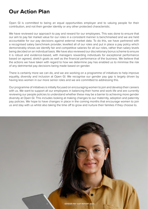# **Our Action Plan**

Open GI is committed to being an equal opportunities employer and to valuing people for their contribution, and not their gender identity or any other protected characteristic.

We have reviewed our approach to pay and reward for our employees. This was done to ensure that our aim to pay fair market value for our roles in a consistent manner is benchmarked and we are held accountable for our pay decisions against external market data. To do this, we have partnered with a recognised salary benchmark provider, levelled all of our roles and put in place a pay policy which demonstrably shows we identify fair and competitive salaries for all our roles, rather than salary levels being decided on an individual basis. We have also reviewed our discretionary bonus scheme to ensure it is robust and evidence-based, with managers rewarding individuals for exceptional performance based on agreed, stretch goals as well as the financial performance of the business. We believe that the actions we have taken with regard to how we determine pay has enabled us to minimise the risk of any detrimental pay decisions being made based on gender.

There is certainly more we can do, and we are working on a programme of initiatives to help improve equality, diversity and inclusion at Open GI. We recognise our gender pay gap is largely driven by having less women in our more senior roles and we are committed to addressing this.

Our programme of initiatives is initially focused on encouraging women to join and develop their careers with us. We want to support all our employees in balancing their home and work life and are currently reviewing our people policies to understand whether these may be a barrier to achieving more gender diversity at Open GI. This includes looking at making changes to our maternity, adoption and paternity pay policies. We hope to have changes in place in the coming months that encourage women to join us and stay with us whilst also taking the time off to grow and nurture their families if they choose to.

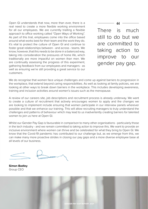<span id="page-8-0"></span>Open GI understands that now, more than ever, there is a real need to create a more flexible working environment for all our employees. We are currently trialling a flexible approach to office working called "Open Ways of Working". As part of this trial, employees come into the office based around what works best for their team and the work they do. It's vital to protect the culture of Open GI and continue to foster great relationships between - and across - teams. We know, however, that this needs to be done in a balanced way, taking into consideration the pressures of home life, which traditionally are more impactful on women than men. We are continually assessing the progress of this experiment, gathering feedback from our employees and managers - as well as ensuring we're still providing a great service to our customers.

There is much still to do but we are committed to taking action to improve to our gender pay gap.

We do recognise that women face unique challenges and come up against barriers to progression in the workplace, that extend beyond caring responsibilities. As well as looking at family policies, we are looking at other ways to break down barriers in the workplace. This includes developing awareness, training and inclusion activities around women's issues such as the menopause.

A review of our careers site, job descriptions and recruitment process is already underway. We want to create a culture of recruitment that actively encourages women to apply and the changes we are looking to implement include ensuring that women participate in our interview panels wherever possible and that we enhance our training. This will allow recruiting managers to truly understand the challenges and patterns of behaviour which may lead to us inadvertently creating barriers for talented women to join us here at Open GI.

Whilst our Gender Pay Gap is favourable in comparison to many other organisations - particularly those in the tech industry - and we remain committed to taking action to improve this. We want to provide an inclusive environment where women can thrive and be celebrated for what they bring to Open GI. We know that the Covid-19 pandemic has contributed to our challenge but, as we emerge from this, we can make many more proactive strides in closing our pay gaps and a more diverse employee base at all levels of our business.

**Simon Badley** Group CEO